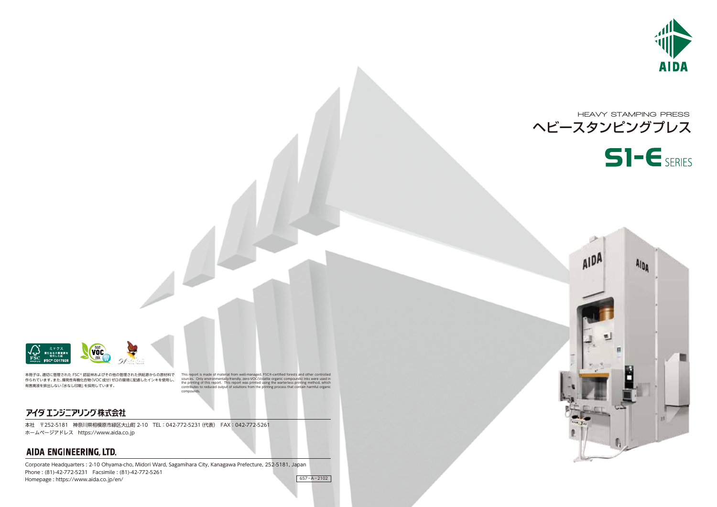本社 〒252-5181 神奈川県相模原市緑区大山町 2-10 TEL:042-772-5231(代表) FAX:042-772-5261 ホームページアドレス https://www.aida.co.jp

# AIDA ENGINEERING, LTD.

# HEAVY STAMPING PRESS ヘビースタンピングプレス  $S$ - $E$  SERIES



Corporate Headquarters : 2-10 Ohyama-cho, Midori Ward, Sagamihara City, Kanagawa Prefecture, 252-5181, Japan Phone : (81)-42-772-5231 Facsimile : (81)-42-772-5261 Homepage : https://www.aida.co.jp/en/

 $657 - A - 2102$ 





本冊子は、適切に管理された FSC® 認証林およびその他の管理された供給源からの原材料で 作られています。また、揮発性有機化合物(VOC成分)ゼロの環境に配慮したインキを使用し、 有害廃液を排出しない「水なし印刷」を採用しています。

This report is made of material from well-managed, FSC®-certified forests and other controlled<br>sources. Only environmentally-friendly, zero-VOC(Volatile organic compounds) inks were used in<br>the printing of this report. Thi compounds.

## アイダ エンジニアリング 株式会社